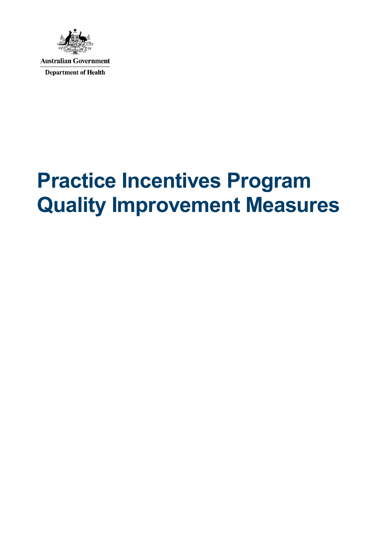

**Australian Government Department of Health** 

## **Practice Incentives Program Quality Improvement Measures**